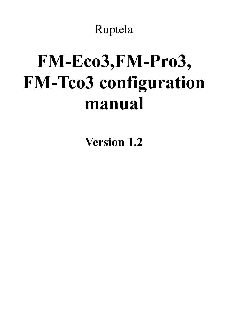Ruptela

# **FM-Eco3,FM-Pro3, FM-Tco3 configuration manual**

**Version 1.2**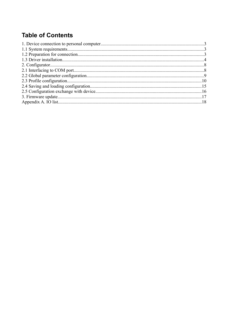# **Table of Contents**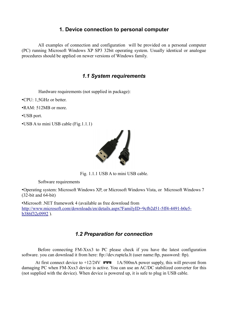#### **1. Device connection to personal computer**

All examples of connection and configuration will be provided on a personal computer (PC) running Microsoft Windows XP SP3 32bit operating system. Usually identical or analogue procedures should be applied on newer versions of Windows family.

#### *1.1 System requirements*

Hardware requirements (not supplied in package):

•CPU: 1,5GHz or better.

•RAM: 512MB or more.

•USB port.

•USB A to mini USB cable (Fig.1.1.1)



Fig. 1.1.1 USB A to mini USB cable.

Software requirements

•Operating system: Microsoft Windows XP, or Microsoft Windows Vista, or Microsoft Windows 7 (32-bit and 64-bit)

•Microsoft .NET framework 4 (available as free download from [http://www.microsoft.com/downloads/en/details.aspx?FamilyID=9cfb2d51-5ff4-4491-b0e5](http://www.microsoft.com/downloads/en/details.aspx?FamilyID=9cfb2d51-5ff4-4491-b0e5-b386f32c0992) b386f32c0992).

#### *1.2 Preparation for connection*

Before connecting FM-Xxx3 to PC please check if you have the latest configuration software. you can download it from here: ftp://dev.ruptela.lt (user name:ftp, password: ftp).

At first connect device to  $+12/24V$   $\equiv 1A/500$  mA power supply, this will prevent from damaging PC when FM-Xxx3 device is active. You can use an AC/DC stabilized converter for this (not supplied with the device). When device is powered up, it is safe to plug in USB cable.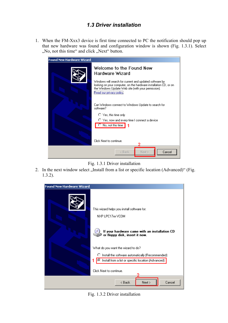#### *1.3 Driver installation*

1. When the FM-Xxx3 device is first time connected to PC the notification should pop up that new hardware was found and configuration window is shown (Fig. 1.3.1). Select ", No, not this time" and click "Next" button.



Fig. 1.3.1 Driver installation

2. In the next window select "Install from a list or specific location (Advanced)" (Fig. 1.3.2).



Fig. 1.3.2 Driver installation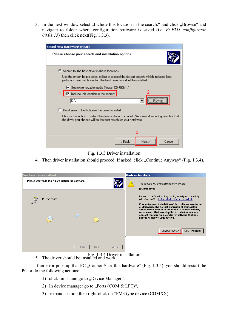3. In the next window select "Include this location in the search:" and click "Browse" and navigate to folder where configuration software is saved (i.e. *F:\FM3 configurator 00.01.15*) then click next(Fig. 1.3.3).

| <b>Found New Hardware Wizard</b>                                                                                                                               |
|----------------------------------------------------------------------------------------------------------------------------------------------------------------|
| Please choose your search and installation options.                                                                                                            |
| 6 Search for the best driver in these locations.                                                                                                               |
| Use the check boxes below to limit or expand the default search, which includes local<br>paths and removable media. The best driver found will be installed.   |
| V Search removable media (floppy, CD-ROM)<br>1<br>$\overline{\blacktriangledown}$ Include this location in the search:<br><br>Þ٨<br><b>Browse</b>              |
| C Don't search. I will choose the driver to install.                                                                                                           |
| Choose this option to select the device driver from a list. Windows does not guarantee that<br>the driver you choose will be the best match for your hardware. |
| 3                                                                                                                                                              |
| Cancel<br>< Back<br>Next                                                                                                                                       |

Fig. 1.3.3 Driver installation

4. Then driver installation should proceed. If asked, click "Continue Anyway" (Fig. 1.3.4).

| <b>Found New Hardware Wizard</b>                   |                  | <b>Hardware Installation</b> |                                                                                                                                                                                                                                                                                                                                                                                                                       |
|----------------------------------------------------|------------------|------------------------------|-----------------------------------------------------------------------------------------------------------------------------------------------------------------------------------------------------------------------------------------------------------------------------------------------------------------------------------------------------------------------------------------------------------------------|
| Please wait while the wizard installs the software |                  | FM3 type device              | The software you are installing for this hardware:                                                                                                                                                                                                                                                                                                                                                                    |
| FM3 type device                                    |                  | passed Windows Logo testing. | has not passed Windows Logo testing to verify its compatibility<br>with Windows XP. [Tell me why this testing is important.]<br>Continuing your installation of this software may impair<br>or destabilize the correct operation of your system<br>either immediately or in the future. Microsoft strongly<br>recommends that you stop this installation now and<br>contact the hardware vendor for software that has |
|                                                    | < Back<br>Next > | Cancel                       | Continue Anyway<br>STOP Installation                                                                                                                                                                                                                                                                                                                                                                                  |

5. The driver should be installed and work. Fig. 1.3.4 Driver installation

If an error pops up that PC "Cannot Start this hardware" (Fig. 1.3.5), you should restart the PC or do the following actions:

- 1) click finish and go to "Device Manager".
- 2) In device manager go to "Ports (COM  $&$  LPT)",
- 3) expand section then right-click on "FM3 type device (COMXX)"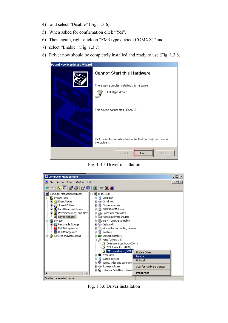- 4) and select "Disable" (Fig. 1.3.6).
- 5) When asked for confirmation click "Yes".
- 6) Then, again, right-click on "FM3 type device (COMXX)" and
- 7) select "Enable" (Fig. 1.3.7).
- 8) Driver now should be completely installed and ready to use (Fig. 1.3.8).

| <b>Found New Hardware Wizard</b> |                                                                                   |
|----------------------------------|-----------------------------------------------------------------------------------|
|                                  | <b>Cannot Start this Hardware</b>                                                 |
|                                  | There was a problem installing this hardware:                                     |
|                                  | FM3 type device                                                                   |
|                                  | This device cannot start. (Code 10)                                               |
|                                  | Click Finish to start a troubleshooter that can help you resolve.<br>the problem. |
|                                  | Finish<br>< Back<br>Cancel                                                        |

Fig. 1.3.5 Driver installation



Fig. 1.3.6 Driver installation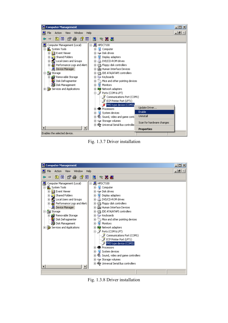

Fig. 1.3.7 Driver installation



Fig. 1.3.8 Driver installation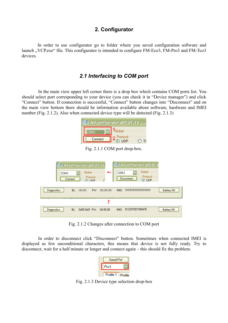#### **2. Configurator**

In order to use configurator go to folder where you saved configuration software and launch ...VCP.exe" file. This configurator is intended to configure FM-Eco3, FM-Pro3 and FM-Tco3 devices.

#### *2.1 Interfacing to COM port*

In the main view upper left corner there is a drop box which contains COM ports list. You should select port corresponding to your device (you can check it in "Device manager") and click "Connect" button. If connection is successful, "Connect" button changes into "Disconnect" and on the main view bottom there should be information available about software, hardware and IMEI number (Fig. 2.1.2). Also when connected device type will be detected (Fig. 2.1.3)

| <b>NR FM3 configurator v00.01.16</b> |                               |  |  |  |  |
|--------------------------------------|-------------------------------|--|--|--|--|
| COM1                                 | <sup>I</sup> Global           |  |  |  |  |
| Connect                              | <b>Protocol</b><br><b>UDP</b> |  |  |  |  |

Fig. 2.1.1 COM port drop-box.

|                           | 認 FM3 configurator v00.01.16      |               | 疑 FM3 configurator v00.01.1                                    |                    |
|---------------------------|-----------------------------------|---------------|----------------------------------------------------------------|--------------------|
| COM3<br>Connect           | Global<br>Protocol<br>$\odot$ HDP | ⇒             | Global<br>COM3<br>Protocol<br><b>Disconnect</b><br>$\odot$ UDP |                    |
| <b>Diagnostics</b>        | BL: XXXX<br>EW:                   | <b>XXXXXX</b> | IMEL XXXXXXXXXXXXX                                             | <b>Battery Off</b> |
|                           |                                   | ₩             |                                                                |                    |
| BL:<br><b>Diagnostics</b> | $0x500x01$ $FW:$                  | 04.00.00      | 012207007308478<br>IMEI:                                       | <b>Battery Off</b> |

Fig. 2.1.2 Changes after connection to COM port

In order to disconnect click "Disconnect" button. Sometimes when connected IMEI is displayed as few unconditional characters, this means that device is not fully ready. Try to disconnect, wait for a half minute or longer and connect again – this should fix the problem.

| Send FW   |  |
|-----------|--|
| Pro3      |  |
| Profile 1 |  |

Fig. 2.1.3 Device type selection drop-box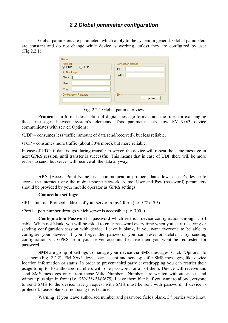#### *2.2 Global parameter configuration*

Global parameters are parameters which apply to the system in general. Global parameters are constant and do not change while device is working, unless they are configured by user (Fig.2.2.1).

| Global                                |                              |
|---------------------------------------|------------------------------|
| Protocol<br>$\odot$ UDP<br><b>TCP</b> | Connection settings<br>IP1   |
| APN settings                          | Port1                        |
| Name                                  |                              |
| User                                  |                              |
| Psw                                   |                              |
| <b>Configuration Password</b>         | <b>SMS</b><br><b>Options</b> |

Fig. 2.2.1 Global parameter view

**Protocol** is a formal description of digital message formats and the rules for exchanging those messages between system's elements. This parameter sets how FM-Xxx3 device communicates with server. Options:

•UDP – consumes less traffic (amount of data send/received), but less reliable.

•TCP – consumes more traffic (about 30% more), but more reliable.

In case of UDP, if data is lost during transfer to server, the device will repeat the same message in next GPRS session, until transfer is successful. This means that in case of UDP there will be more retries to send, but server will receive all the data anyway.

**APN** (Access Point Name) is a communication protocol that allows a user's device to access the internet using the mobile phone network. Name, User and Psw (password) parameters should be provided by your mobile operator as GPRS settings.

#### **Connection settings**:

•IP1 – Internet Protocol address of your server in Ipv4 form (i.e. *127.0.0.1*)

•Port1 – port number through which server is accessible (i.e. 7001)

**Configuration Password** – password which restricts device configuration through USB cable. When not blank, you will be asked to enter password every time when you start receiving or sending configuration session with device. Leave it blank, if you want everyone to be able to configure your device. If you forget the password, you can reset or delete it by sending configuration via GPRS from your server account, because then you wont be requested for password.

**SMS** are group of settings to manage your device via SMS messages. Click "Options" to see them (Fig. 2.2.2). FM-Xxx3 device can accept and send specific SMS messages, like device location information or status. In order to prevent third party eavesdropping you can restrict their usage to up to 10 authorised numbers with one password for all of them. Device will receive and send SMS messages only from those Valid Numbers. Numbers are written without spaces and without plus sign in front (i.e. *37012312345678*). Leave them blank, if you want to allow everyone to send SMS to the device. Every request with SMS must be sent with password, if device is protected. Leave blank, if not using this feature.

Warning! If you leave authorised number and password fields blank, 3<sup>rd</sup> parties who know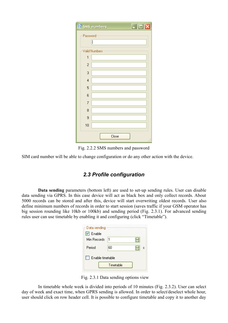|                          | $\Box$ o $\times$<br><b>NR SMS numbers</b> |  |
|--------------------------|--------------------------------------------|--|
|                          | Password                                   |  |
|                          |                                            |  |
|                          | <b>Valid Numbers</b>                       |  |
| 1                        |                                            |  |
| $\overline{c}$           |                                            |  |
| 3                        |                                            |  |
| $\overline{4}$           |                                            |  |
| 5                        |                                            |  |
| 6                        |                                            |  |
| $\overline{\mathcal{L}}$ |                                            |  |
| 8                        |                                            |  |
| 9                        |                                            |  |
| 10                       |                                            |  |
|                          | Close                                      |  |

Fig. 2.2.2 SMS numbers and password

SIM card number will be able to change configuration or do any other action with the device.

#### *2.3 Profile configuration*

**Data sending** parameters (bottom left) are used to set-up sending rules. User can disable data sending via GPRS. In this case device will act as black box and only collect records. About 5000 records can be stored and after this, device will start overwriting oldest records. User also define minimum numbers of records in order to start session (saves traffic if your GSM operator has big session rounding like 10kb or 100kb) and sending period (Fig. 2.3.1). For advanced sending rules user can use timetable by enabling it and configuring (click "Timetable").

| Data sending<br>$\boxed{\triangledown}$ Enable |           |   |
|------------------------------------------------|-----------|---|
| Min Records                                    | 1         |   |
| Period                                         | 60        | s |
| Enable timetable                               |           |   |
|                                                | Timetable |   |

Fig. 2.3.1 Data sending options view

In timetable whole week is divided into periods of 10 minutes (Fig. 2.3.2). User can select day of week and exact time, when GPRS sending is allowed. In order to select/deselect whole hour, user should click on row header cell. It is possible to configure timetable and copy it to another day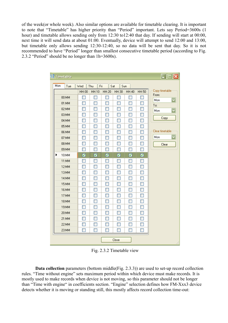of the week(or whole week). Also similar options are available for timetable clearing. It is important to note that "Timetable" has higher priority than "Period" important. Lets say Period=3600s (1 hour) and timetable allows sending only from 12:30 to12:40 that day. If sending will start at 00:00, next time it will send data at about 01:00. Eventually, device will attempt to send 12:00 and 13:00, but timetable only allows sending 12:30-12:40, so no data will be sent that day. So it is not recommended to have "Period" longer than smallest consecutive timetable period (according to Fig. 2.3.2 "Period" should be no longer than 1h=3600s).

| <b>X</b> Timetable |                   |                          |                   |                          |                   |            | ⊡⊡Ix                           |
|--------------------|-------------------|--------------------------|-------------------|--------------------------|-------------------|------------|--------------------------------|
| Mon<br>Tue         | Wed               | Fri<br>Thu               | Sat               | Sun                      |                   |            |                                |
|                    | HH:00             | HH:10                    | HH:20             | HH:30                    | HH:40             | HH:50      | Copy timetable:                |
| 00:MM              |                   | п                        |                   |                          | ш                 |            | From:<br>Mon                   |
| 01:MM              | П                 | <b>The Second</b>        | ш                 | $\Box$                   | П                 | П          | $\overline{\mathbf{v}}$<br>To: |
| 02:MM              | H                 | ш                        |                   | ш                        | П                 |            | Mon                            |
| 03:MM              | l.                | T                        | H                 | ш                        | П                 | ٠          |                                |
| 04:MM              | П                 | ш                        |                   | Ш                        | l.                |            | Copy                           |
| 05:MM              | П                 | F                        | <b>The Second</b> | $\Box$                   | n                 | a a        |                                |
| 06:MM              | П                 | ш                        |                   | ш                        | ш                 |            | Clear timetable                |
| 07:MM              | <b>The State</b>  | <b>The Second</b>        | H                 | H                        | <b>The State</b>  |            | Mon                            |
| 08:MM              |                   | I.                       |                   |                          | ш                 |            | Clear                          |
| 09:MM              |                   |                          |                   | <b>The Second</b>        | П                 |            |                                |
| 10:MM<br>▶         | ☑                 | ☑                        | ☑                 | ☑                        | ☑                 | ☑          |                                |
| 11:MM              |                   |                          | m                 | Ш                        | <b>COL</b>        | <b>COL</b> |                                |
| 12:MM              |                   |                          | m.                | ш                        | <b>COL</b>        |            |                                |
| 13:MM              | П                 | l.                       | ш                 | Ш                        | <b>COL</b>        | ш          |                                |
| 14:MM              |                   |                          |                   |                          |                   |            |                                |
| 15:MM              | П                 |                          |                   | <b>The Second</b>        | П                 |            |                                |
| 16:MM              |                   |                          |                   |                          |                   |            |                                |
| 17:MM              | ш                 | H                        | ш                 | ш                        | П                 | ш          |                                |
| 18:MM              | Π                 | П                        |                   | П                        | П                 |            |                                |
| 19:MM              | <b>The Second</b> | <b>COL</b>               | <b>FRI</b>        | П                        | <b>The Second</b> | ٠          |                                |
| 20:MM              | F                 |                          | <b>The Second</b> | П                        |                   |            |                                |
| 21:MM              | П                 | $\Box$                   | <b>The Second</b> | П                        | $\Box$            | ▛          |                                |
| 22:MM              | H                 | F                        | <b>The Second</b> | П                        | П                 |            |                                |
| 23:MM              | ⊓                 | $\overline{\phantom{a}}$ |                   | <b>The Second Second</b> | <b>The State</b>  |            |                                |
|                    |                   |                          |                   | Close                    |                   |            | Ш                              |

Fig. 2.3.2 Timetable view

**Data collection** parameters (bottom middle(Fig. 2.3.3)) are used to set-up record collection rules. "Time without engine" sets maximum period within which device must make records. It is mostly used to make records when device is not moving, so this parameter should not be longer than "Time with engine" in coefficients section. "Engine" selection defines how FM-Xxx3 device detects whether it is moving or standing still, this mostly affects record collection time-out: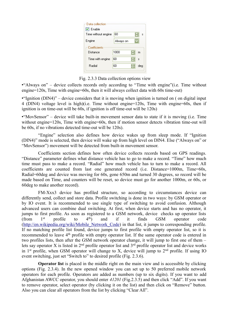| Data collection          |           |   |     |
|--------------------------|-----------|---|-----|
| Enable                   |           |   |     |
| Time without engine      | 60        |   | Ś   |
| Engine                   | Always on |   |     |
| Coefficients<br>Distance | 1000      | ٥ | m   |
| Time with engine         | 60        | ¢ | Ŝ   |
| <b>Badial</b>            | 60        | ٥ | dea |
|                          |           |   |     |

Fig. 2.3.3 Data collection options view

• Always on" – device collects records only according to "Time with engine" (i.e. Time without engine=120s, Time with engine=60s, then it will always collect data with 60s time-out)

•"Ignition (DIN4)" – device considers that it is moving when ignition is turned on ( on digital input 4 (DIN4) voltage level is high)(i.e. Time without engine=120s, Time with engine=60s, then if ignition is on time-out will be 60s, if ignition is off time-out will be 120s)

•"MovSensor" – device will take built-in movement sensor data to state if it is moving (i.e. Time without engine=120s, Time with engine=60s, then if motion sensor detects vibration time-out will be 60s, if no vibrations detected time-out will be 120s).

"Engine" selection also defines how device wakes up from sleep mode. If "Ignition (DIN4)" mode is selected, then device will wake up from high level on DIN4. Else ("Always on" or "MovSensor") movement will be detected from built-in movement sensor.

Coefficients section defines how often device collects records based on GPS readings. "Distance" parameter defines what distance vehicle has to go to make a record. "Time" how much time must pass to make a record. "Radial" how much vehicle has to turn to make a record. All coefficients are counted from last one generated record (i.e. Distance=1000m, Time=60s, Radial=60deg and device was moving for 60s, gone 650m and turned 30 degrees, so record will be made based on Time, and counters will be reset, so device must go for another 1000m, or 60s, or 60deg to make another record).

FM-Xxx3 device has profiled structure, so according to circumstances device can differently send, collect and store data. Profile switching is done in two ways: by GSM operator or by IO event. It is recommended to use single type of switching to avoid confusion. Although advanced users can combine dual switching. At first, when device starts and has no operator, it jumps to first profile. As soon as registered to a GSM network, device checks up operator lists (from  $1^{st}$  profile to  $4^{th}$ ) and if it finds GSM operator code [\(http://en.wikipedia.org/wiki/Mobile\\_Network\\_Code\)](http://en.wikipedia.org/wiki/Mobile_Network_Code) in that list, it jumps to corresponding profile. If no matching profile list found, device jumps to first profile with empty operator list, so it is recommended to leave 4<sup>th</sup> profile with empty operator list. If the same operator code is entered in two profiles lists, then after the GSM network operator change, it will jump to first one of them – lets say operator X is listed in  $2<sup>nd</sup>$  profile operator list and  $3<sup>rd</sup>$  profile operator list and device works in  $1<sup>st</sup>$  profile, when GSM operator will change to X, device will jump to  $2<sup>nd</sup>$  profile. If using IO event switching, just set "Switch to" to desired profile (Fig. 2.3.6).

**Operator list** is placed in the middle right on the main view and is accessible by clicking options (Fig. 2.3.4). In the new opened window you can set up to 50 preferred mobile network operators for each profile. Operators are added as numbers (up to six digits). If you want to add Afghanistan AWCC operator, you should enter *41201* (Fig.2.3.5) and then click "Add". If you want to remove operator, select operator (by clicking it on the list) and then click on "Remove" button. Also you can clear all operators from the list by clicking "Clear All".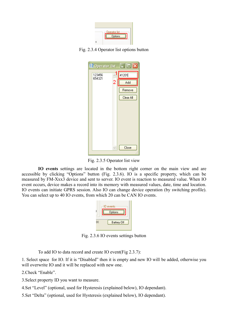| Operator list<br>Options |
|--------------------------|
|                          |

Fig. 2.3.4 Operator list options button

| ें ? Operator list |   | l⊡lx<br>H     |
|--------------------|---|---------------|
| 123456<br>654321   |   | 41201         |
|                    | 2 | Add           |
|                    |   | Remove        |
|                    |   | Clear All     |
|                    |   |               |
|                    |   |               |
|                    |   |               |
|                    |   |               |
|                    |   |               |
|                    |   |               |
|                    |   | Close<br>. 22 |

Fig. 2.3.5 Operator list view

**IO events** settings are located in the bottom right corner on the main view and are accessible by clicking "Options" button (Fig. 2.3.6). IO is a specific property, which can be measured by FM-Xxx3 device and sent to server. IO event is reaction to measured value. When IO event occurs, device makes a record into its memory with measured values, date, time and location. IO events can initiate GPRS session. Also IO can change device operation (by switching profile). You can select up to 40 IO events, from which 20 can be CAN IO events.

| IO events          |
|--------------------|
| Options            |
| <b>Battery Off</b> |

Fig. 2.3.6 IO events settings button

To add IO to data record and create IO event(Fig 2.3.7):

1. Select space for IO. If it is "Disabled" then it is empty and new IO will be added, otherwise you will overwrite IO and it will be replaced with new one.

2.Check "Enable".

- 3.Select property ID you want to measure.
- 4.Set "Level" (optional, used for Hysteresis (explained below), IO dependant).
- 5.Set "Delta" (optional, used for Hysteresis (explained below), IO dependant).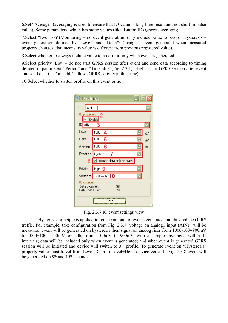6.Set "Average" (averaging is used to ensure that IO value is long time result and not short impulse value). Some parameters, which has static values (like iButton ID) ignores averaging.

7.Select "Event on"(Monitoring – no event generation, only include value to record; Hysteresis – event generation defined by "Level" and "Delta"; Change – event generated when measured property changes, that means its value is different from previous registered value).

8.Select whether to always include value to record or only when event is generated.

9.Select priority (Low – do not start GPRS session after event and send data according to timing defined in parameters "Period" and "Timetable"(Fig. 2.3.1), High – start GPRS session after event and send data if "Timetable" allows GPRS activity at that time).

10.Select whether to switch profile on this event or not.

| <b>课 IO settings</b>                                        |                            |    |
|-------------------------------------------------------------|----------------------------|----|
| 1<br>AIN1                                                   | 1                          |    |
| 10 properties<br>$\boxed{ \nabla \boxed{ \text{Enable} } }$ | 2                          |    |
| ID AIN1                                                     |                            |    |
| Level                                                       | 1000<br>4                  | m۷ |
| Delta                                                       | 100                        | m۷ |
| Average                                                     | 1000<br>R                  | ms |
| Event on                                                    | Hysteresis                 |    |
| 8                                                           | Include data only on event |    |
| Priority                                                    | High 9                     |    |
|                                                             | Switch to 3rd Profile 10   |    |
| 10 counters<br>Data bytes left:<br>CAN spaces left:         | 96<br>20                   |    |
|                                                             | ose                        |    |

Fig. 2.3.7 IO event settings view

Hysteresis principle is applied to reduce amount of events generated and thus reduce GPRS traffic. For example, take configuration from Fig. 2.3.7: voltage on analog1 input (AIN1) will be measured, event will be generated on hysteresis then signal on analog rises from 1000-100=900mV to 1000+100=1100mV, or falls from 1100mV to 900mV, with a samples averaged within 1s intervals; data will be included only when event is generated; and when event is generated GPRS session will be initiated and device will switch to  $3<sup>rd</sup>$  profile. To generate event on "Hysteresis" property value must travel from Level-Delta to Level+Delta or vice versa. In Fig. 2.3.8 event will be generated on 9<sup>th</sup> and 15<sup>th</sup> seconds.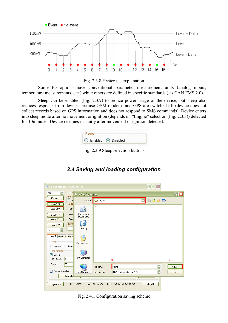



Some IO options have conventional parameter measurement units (analog inputs, temperature measurements, etc.) while others are defined in specific standards ( as CAN FMS 2.0).

**Sleep** can be enabled (Fig. 2.3.9) to reduce power usage of the device, but sleep also reduces response from device, because GSM modem and GPS are switched off (device does not collect records based on GPS information and does not respond to SMS commands). Device enters into sleep mode after no movement or ignition (depends on "Engine" selection (Fig. 2.3.3)) detected for 10minutes. Device resumes instantly after movement or ignition detected.



Fig. 2.3.9 Sleep selection buttons

#### $\sqrt[3]{R}$  FM3 configurator v00.01.16  $\Box\Box$  $\times$ Global COM1 ave Configuration <u> शिप्र</u> .<br>Profi 1 Connect  $\overline{6}$  U Save in: 6 fw\_files  $\overline{\mathbf{v}}$ ○ ま ビ 田 APN Save CFG  $\overline{2}$ Load CFG Nam G My Recent **H**ser Send CFG Documents Psw Get CFG ß Cor Send FW Desktop  $P_{103}$ Profile 1 Profile 2 Profil  $\left\langle \right\rangle$ Sleep My Documents ◯ Enabled ⊙ Disab -Data sending 一  $\boxed{\triangledown}$  Enable My Computer Min Records  $\vert$ 1 3 Δ Period kn File name name Save Enable timetable FM3 configuration file (\*.f3c) Cancel My Network Save as type Timetabl FW: XXXXX IMEI: XXXXXXXXXXXXX **Battery Off** Diagnostics BL: **XXXX**

### *2.4 Saving and loading configuration*

Fig. 2.4.1 Configuration saving scheme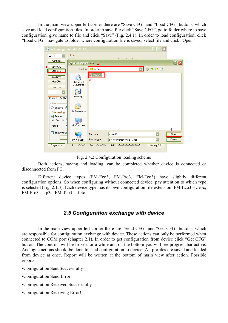In the main view upper left corner there are "Save CFG" and "Load CFG" buttons, which save and load configuration files. In order to save file click "Save CFG", go to folder where to save configuration, give name to file and click "Save" (Fig. 2.4.1). In order to load configuration, click "Load CFG", navigate to folder where configuration file is saved, select file and click "Open"

| $\sqrt[3]{R}$ FM3 configurator v00.01.16  |                           |                |                                |                         | ×                    |
|-------------------------------------------|---------------------------|----------------|--------------------------------|-------------------------|----------------------|
| COM1<br>Connect                           | Global<br>Protocol        |                | Connection settings            |                         |                      |
|                                           | <b>Open configuration</b> | $\overline{2}$ |                                |                         | $\boxed{?}$ $\times$ |
| Save CFG<br>Load CFG                      | Look in:                  | fw_files       |                                | ◘◘⊙ ◘ ◘ ◘               |                      |
| Send CFG                                  |                           | Tame.f3c<br>3  |                                |                         |                      |
| Get CFG<br>Send FW                        | My Recent<br>Documents    |                |                                |                         |                      |
| Pro3                                      |                           |                |                                |                         |                      |
| Profile 1<br>Profile 2                    | Desktop                   |                |                                |                         |                      |
| Sleep<br>$\bigcirc$ Enabled<br>◉          |                           |                |                                |                         |                      |
| Data sending                              | My Documents              |                |                                |                         |                      |
| $\boxed{\vee}$ Enable<br>1<br>Min Records |                           |                |                                |                         |                      |
| đ<br>Period                               | My Computer               |                |                                |                         |                      |
| Enable timeta                             |                           | File name:     | name.f3c                       |                         | Open                 |
|                                           | My Network                | Files of type: | FM3 configuration file [".f3c] | $\overline{\mathbf{v}}$ | Cancel               |
| Diagnostics                               | BL: XXXX                  | FW: XXXXX      | <b>IMEI: XXXXXXXXXXXX</b>      | <b>Battery Off</b>      |                      |

Fig. 2.4.2 Configuration loading scheme

Both actions, saving and loading, can be completed whether device is connected or disconnected from PC.

Different device types (FM-Eco3, FM-Pro3, FM-Tco3) have slightly different configuration options. So when configuring without connected device, pay attention to which type is selected (Fig. 2.1.3). Each device type has its own configuration file extension: FM-Eco3 – .fe3c,  $FM-Pro3 - f<sub>p3c</sub>, FM-Te<sub>03</sub> - f<sub>t3c</sub>.$ 

#### *2.5 Configuration exchange with device*

In the main view upper left corner there are "Send CFG" and "Get CFG" buttons, which are responsible for configuration exchange with device. These actions can only be performed when connected to COM port (chapter 2.1). In order to get configuration from device click "Get CFG" button. The controls will be frozen for a while and on the bottom you will see progress bar active. Analogue actions should be done to send configuration to device. All profiles are saved and loaded from device at once. Report will be written at the bottom of main view after action. Possible reports:

- •Configuration Sent Successfully
- •Configuration Send Error!
- •Configuration Received Successfully
- •Configuration Receiving Error!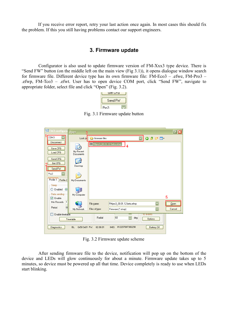If you receive error report, retry your last action once again. In most cases this should fix the problem. If this you still having problems contact our support engineers.

#### **3. Firmware update**

Configurator is also used to update firmware version of FM-Xxx3 type device. There is "Send FW" button (on the middle left on the main view (Fig 3.1)), it opens dialogue window search for firmware file. Different device type has its own firmware file: FM-Eco3 – .efwe, FM-Pro3 – .efwp, FM-Tco3 – .efwt. User has to open device COM port, click "Send FW", navigate to appropriate folder, select file and click "Open" (Fig. 3.2).



Fig. 3.1 Firmware update button

| <b>NR FM3 configura</b>                                | <b>Open</b><br>3       |                           |                           |                             |                         |        |
|--------------------------------------------------------|------------------------|---------------------------|---------------------------|-----------------------------|-------------------------|--------|
| COM3                                                   | Look in                | firmware files<br>⊖       |                           |                             | $O$ $D$ $P$ $m$         |        |
| Disconnect<br>Save CFG<br>Load CFG                     | My Recent<br>Documents | FMpro3_00.01.12 beta.efwp | 4                         |                             |                         |        |
| Send CFG<br>Get CFG<br>Send FW                         | Desktop                |                           |                           |                             |                         |        |
| Pro3<br>Profile 1<br>Profile 2                         | My Documents           |                           |                           |                             |                         |        |
| Sleep<br>$\odot$<br>$\bigcirc$ Enabled<br>Data sending |                        |                           |                           |                             |                         |        |
| $\triangledown$ Enable                                 | My Computer            |                           |                           |                             |                         | 5      |
| I1.<br>Min Records                                     |                        | File name:                | FMpro3_00.01.12 beta.efwp |                             |                         | Qpen   |
| 60<br>Period                                           | My Network             | Files of type:            | Firmware (*.efwp)         |                             | $\overline{\mathbf{v}}$ | Cancel |
| Enable timetable                                       | Timetable              | Radial                    | 쥐<br>60<br>deg            | <b>IU</b> events<br>Options |                         |        |
| Diagnostics                                            | BL:<br>0x50 0x01 FW:   | 02.00.01                  | IMEI: 012207007306290     |                             | <b>Battery Off</b>      |        |

Fig. 3.2 Firmware update scheme

After sending firmware file to the device, notification will pop up on the bottom of the device and LEDs will glow continuously for about a minute. Firmware update takes up to 5 minutes, so device must be powered up all that time. Device completely is ready to use when LEDs start blinking.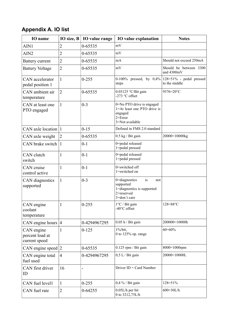## **Appendix A. IO list**

| <b>IO</b> name                                 | IO size, $B$   | <b>IO</b> value range | <b>IO</b> value explanation                                                                           | <b>Notes</b>                                |
|------------------------------------------------|----------------|-----------------------|-------------------------------------------------------------------------------------------------------|---------------------------------------------|
| AIN1                                           | $\overline{2}$ | 0-65535               | mV                                                                                                    |                                             |
| AIN <sub>2</sub>                               | $\overline{2}$ | 0-65535               | mV                                                                                                    |                                             |
| <b>Battery current</b>                         | $\overline{2}$ | 0-65535               | mA                                                                                                    | Should not exceed 250mA                     |
| <b>Battery Voltage</b>                         | $\overline{2}$ | 0-65535               | mV                                                                                                    | Should be between 3300<br>and 4300mV        |
| CAN accelerator<br>pedal position 1            | $\mathbf{1}$   | $0 - 255$             | 0-100% pressed, by $0,4\%$<br>steps                                                                   | $128=51\%$ - pedal pressed<br>to the middle |
| CAN ambient air<br>temperature                 | $\overline{2}$ | 0-65535               | 0.03125 °C/Bit gain<br>-273 °C offset                                                                 | 9376=20°C                                   |
| CAN at least one<br>PTO engaged                | $\mathbf{1}$   | $0 - 3$               | 0=No PTO drive is engaged<br>1=At least one PTO drive is<br>engaged<br>$2 = Error$<br>3=Not available |                                             |
| CAN axle location                              | $\mathbf{1}$   | $0 - 15$              | Defined in FMS 2.0 standard                                                                           |                                             |
| CAN axle weight                                | $\overline{2}$ | 0-65535               | $0.5$ kg / Bit gain                                                                                   | 20000=10000kg                               |
| CAN brake switch                               | 1              | $0 - 1$               | 0=pedal released<br>1=pedal pressed                                                                   |                                             |
| CAN clutch<br>switch                           | 1              | $0 - 1$               | 0=pedal released<br>1=pedal pressed                                                                   |                                             |
| CAN cruise<br>control active                   | 1              | $0 - 1$               | 0=switched off<br>1=switched on                                                                       |                                             |
| CAN diagnostics<br>supported                   | 1              | $0 - 3$               | 0=diagnostics<br>is<br>not<br>supported<br>1=diagnostics is supported<br>2=reserved<br>3=don't care   |                                             |
| CAN engine<br>coolant<br>temperature           | $\mathbf{1}$   | $0 - 255$             | $1^{\circ}$ C / Bit gain<br>$-40^{\circ}$ C offset                                                    | $128 = 88^{\circ}C$                         |
| CAN engine hours                               | $\overline{4}$ | 0-4294967295          | $0.05$ h / Bit gain                                                                                   | 200000=10000h                               |
| CAN engine<br>percent load at<br>current speed | 1              | $0 - 125$             | 1%/bit,<br>0 to 125% op. range                                                                        | $60 = 60%$                                  |
| CAN engine speed                               | $\overline{2}$ | 0-65535               | $0.125$ rpm / Bit gain                                                                                | 8000=1000rpm                                |
| CAN engine total<br>fuel used                  | $\overline{4}$ | 0-4294967295          | $0,5$ L / Bit gain                                                                                    | 20000=10000L                                |
| CAN first driver<br>ID                         | 16             | $\overline{a}$        | Driver $ID = Card$ Number                                                                             |                                             |
| CAN fuel level1                                | 1              | $0 - 255$             | $0,4\%$ / Bit gain                                                                                    | 128=51%                                     |
| CAN fuel rate                                  | $\overline{2}$ | $0 - 64255$           | $0.05L/h$ per bit<br>0 to 3212,75L/h                                                                  | 600=30L/h                                   |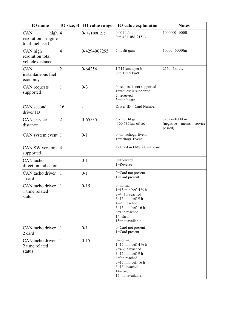| IO name                                                            | IO size, B     | IO value range           | IO value explanation                                                                                                                                                                          | <b>Notes</b>                                             |
|--------------------------------------------------------------------|----------------|--------------------------|-----------------------------------------------------------------------------------------------------------------------------------------------------------------------------------------------|----------------------------------------------------------|
| high $ 4$<br><b>CAN</b><br>engine<br>resolution<br>total fuel used |                | $0 - 4211081215$         | $0.001$ L/bit<br>0 to 4211081,215 L                                                                                                                                                           | 1000000=1000L                                            |
| CAN high<br>resolution total<br>vehicle distance                   | $\overline{4}$ | 0-4294967295             | 5 m/Bit gain                                                                                                                                                                                  | 10000=50000m                                             |
| CAN<br>instantaneous fuel<br>economy                               | $\overline{2}$ | 0-64256                  | $1/512$ km/L per b<br>0 to 125,5 km/L                                                                                                                                                         | 2560=5km/L                                               |
| CAN requests<br>supported                                          | $\mathbf{1}$   | $0 - 3$                  | 0=request is not supported<br>1=request is supported<br>2=reserved<br>3=don't care                                                                                                            |                                                          |
| CAN second<br>driver ID                                            | 16             | $\overline{\phantom{0}}$ | Driver $ID = Card$ Number                                                                                                                                                                     |                                                          |
| <b>CAN</b> service<br>distance                                     | $\overline{2}$ | 0-65535                  | 5 km / Bit gain<br>$-160635$ km offset                                                                                                                                                        | 32327=1000km<br>(negative<br>means<br>service<br>passed) |
| CAN system event $ 1 $                                             |                | $0 - 1$                  | 0=no tachogr. Event<br>1=tachogr. Event                                                                                                                                                       |                                                          |
| <b>CAN SW-version</b><br>supported                                 | $\overline{4}$ |                          | Defined in FMS 2.0 standard                                                                                                                                                                   |                                                          |
| CAN tacho<br>direction indicator                                   | $\mathbf{1}$   | $0 - 1$                  | 0=Forward<br>1=Reverse                                                                                                                                                                        |                                                          |
| CAN tacho driver<br>1 card                                         | $\mathbf{1}$   | $0 - 1$                  | 0=Card not present<br>1=Card present                                                                                                                                                          |                                                          |
| CAN tacho driver<br>1 time related<br>status                       | 1              | $0 - 15$                 | 0=normal<br>$1=15$ min bef. 4 $\frac{1}{2}$ h<br>$2=4\frac{1}{2}$ h reached<br>$3=15$ min bef. 9 h<br>4=9 h reached<br>$5=15$ min bef. 16 h<br>6=16h reached<br>14=Error<br>15=not available  |                                                          |
| CAN tacho driver<br>2 card                                         | 1              | $0 - 1$                  | 0=Card not present<br>1=Card present                                                                                                                                                          |                                                          |
| CAN tacho driver<br>2 time related<br>status                       | $\mathbf{1}$   | $0 - 15$                 | $0$ =normal<br>$1=15$ min bef. 4 $\frac{1}{2}$ h<br>$2=4\frac{1}{2}$ h reached<br>$3=15$ min bef. 9 h<br>4=9 h reached<br>5=15 min bef. 16 h<br>6=16h reached<br>14=Error<br>15=not available |                                                          |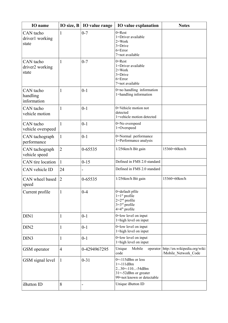| <b>IO</b> name                        | IO size, B     | IO value range           | <b>IO</b> value explanation                                                                                            | <b>Notes</b>                                         |
|---------------------------------------|----------------|--------------------------|------------------------------------------------------------------------------------------------------------------------|------------------------------------------------------|
| CAN tacho<br>driver1 working<br>state | 1              | $0 - 7$                  | $0 =$ Rest<br>1=Driver available<br>$2 = Work$<br>$3 = Drive$<br>$6 = Error$<br>7=not available                        |                                                      |
| CAN tacho<br>driver2 working<br>state | 1              | $0 - 7$                  | $0 =$ Rest<br>1=Driver available<br>$2 = Work$<br>$3 = Drive$<br>$6 = Error$<br>7=not available                        |                                                      |
| CAN tacho<br>handling<br>information  | 1              | $0 - 1$                  | 0=no handling information<br>1=handling information                                                                    |                                                      |
| CAN tacho<br>vehicle motion           | $\mathbf{1}$   | $0 - 1$                  | 0=Vehicle motion not<br>detected<br>1=vehicle motion detected                                                          |                                                      |
| CAN tacho<br>vehicle overspeed        | 1              | $0 - 1$                  | 0=No overspeed<br>1=Overspeed                                                                                          |                                                      |
| CAN tachograph<br>performance         | $\mathbf{1}$   | $0 - 1$                  | 0=Normal performance<br>1=Performance analysis                                                                         |                                                      |
| CAN tachograph<br>vehicle speed       | $\overline{2}$ | 0-65535                  | 1/256km/h Bit gain                                                                                                     | 15360=60km/h                                         |
| CAN tire location                     | $\mathbf{1}$   | $0 - 15$                 | Defined in FMS 2.0 standard                                                                                            |                                                      |
| CAN vehicle ID                        | 24             | $\overline{\phantom{0}}$ | Defined in FMS 2.0 standard                                                                                            |                                                      |
| CAN wheel based<br>speed              | $\overline{2}$ | 0-65535                  | 1/256km/h Bit gain                                                                                                     | 15360=60km/h                                         |
| Current profile                       | 1              | $0 - 4$                  | 0=default pfile<br>$1=1$ <sup>st</sup> profile<br>$2=2nd$ profile<br>$3=3^{rd}$ profile<br>$4=4$ <sup>th</sup> profile |                                                      |
| DIN1                                  | 1              | $0 - 1$                  | 0=low level on input<br>1=high level on input                                                                          |                                                      |
| DIN <sub>2</sub>                      | 1              | $0 - 1$                  | 0=low level on input<br>1=high level on input                                                                          |                                                      |
| DIN <sub>3</sub>                      | 1              | $0 - 1$                  | 0=low level on input<br>1=high level on input                                                                          |                                                      |
| GSM operator                          | $\overline{4}$ | 0-4294967295             | Unique<br>Mobile<br>operator<br>code                                                                                   | http://en.wikipedia.org/wiki<br>/Mobile_Network_Code |
| GSM signal level                      | 1              | $0 - 31$                 | $0=115$ dBm or less<br>$1 = -111dBm$<br>$230=11054dBm$<br>$31 = -52$ dBm or greater<br>99=not known or detectable      |                                                      |
| iButton ID                            | 8              |                          | Unique iButton ID                                                                                                      |                                                      |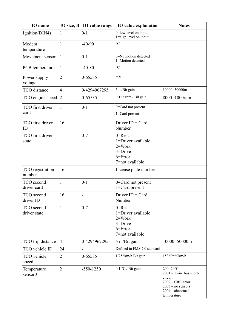| <b>IO</b> name                     | IO size, B     | IO value range | <b>IO</b> value explanation                                                                     | <b>Notes</b>                                                                                                                       |
|------------------------------------|----------------|----------------|-------------------------------------------------------------------------------------------------|------------------------------------------------------------------------------------------------------------------------------------|
| Ignition(DIN4)                     | 1              | $0 - 1$        | 0=low level on input<br>1=high level on input                                                   |                                                                                                                                    |
| Modem<br>temperature               | $\mathbf{1}$   | $-40-90$       | $\rm ^{\circ}C$                                                                                 |                                                                                                                                    |
| Movement sensor                    | $\mathbf{1}$   | $0 - 1$        | 0=No motion detected<br>1=Motion detected                                                       |                                                                                                                                    |
| PCB temperature                    | $\mathbf{1}$   | $-40-80$       | $\rm ^{\circ}C$                                                                                 |                                                                                                                                    |
| Power supply<br>voltage            | $\overline{2}$ | 0-65535        | mV                                                                                              |                                                                                                                                    |
| <b>TCO</b> distance                | $\overline{4}$ | 0-4294967295   | 5 m/Bit gain                                                                                    | 10000=50000m                                                                                                                       |
| TCO engine speed                   | $\overline{2}$ | 0-65535        | 0.125 rpm / Bit gain                                                                            | $8000=1000$ rpm                                                                                                                    |
| TCO first driver<br>card           | $\mathbf{1}$   | $0 - 1$        | 0=Card not present<br>1=Card present                                                            |                                                                                                                                    |
| TCO first driver<br>ID             | 16             | $\blacksquare$ | Driver $ID = Card$<br>Number                                                                    |                                                                                                                                    |
| <b>TCO</b> first driver<br>state   | $\mathbf{1}$   | $0 - 7$        | $0 =$ Rest<br>1=Driver available<br>$2 = Work$<br>$3 = Drive$<br>$6 = Error$<br>7=not available |                                                                                                                                    |
| TCO registration<br>number         | 16             | $\overline{a}$ | License plate number                                                                            |                                                                                                                                    |
| TCO second<br>driver card          | $\mathbf{1}$   | $0 - 1$        | 0=Card not present<br>$1 = Card$ present                                                        |                                                                                                                                    |
| TCO second<br>driver ID            | 16             |                | Driver $ID = Card$<br>Number                                                                    |                                                                                                                                    |
| TCO second<br>driver state         | $\mathbf{1}$   | $0 - 7$        | $0 =$ Rest<br>1=Driver available<br>$2 = Work$<br>$3 = Drive$<br>$6 = Error$<br>7=not available |                                                                                                                                    |
| TCO trip distance                  | $\overline{4}$ | 0-4294967295   | 5 m/Bit gain                                                                                    | 10000=50000m                                                                                                                       |
| TCO vehicle ID                     | 24             |                | Defined in FMS 2.0 standard                                                                     |                                                                                                                                    |
| TCO vehicle<br>speed               | $\overline{2}$ | 0-65535        | 1/256km/h Bit gain                                                                              | 15360=60km/h                                                                                                                       |
| Temperature<br>sensor <sub>0</sub> | $\overline{2}$ | $-550-1250$    | $0,1$ °C / Bit gain                                                                             | 200=20°C<br>$2001 - 1$ wire bus short-<br>circuit<br>$2002 - CRC$ error<br>$2003 - no$ sensors<br>$2004 - abnormal$<br>temperature |